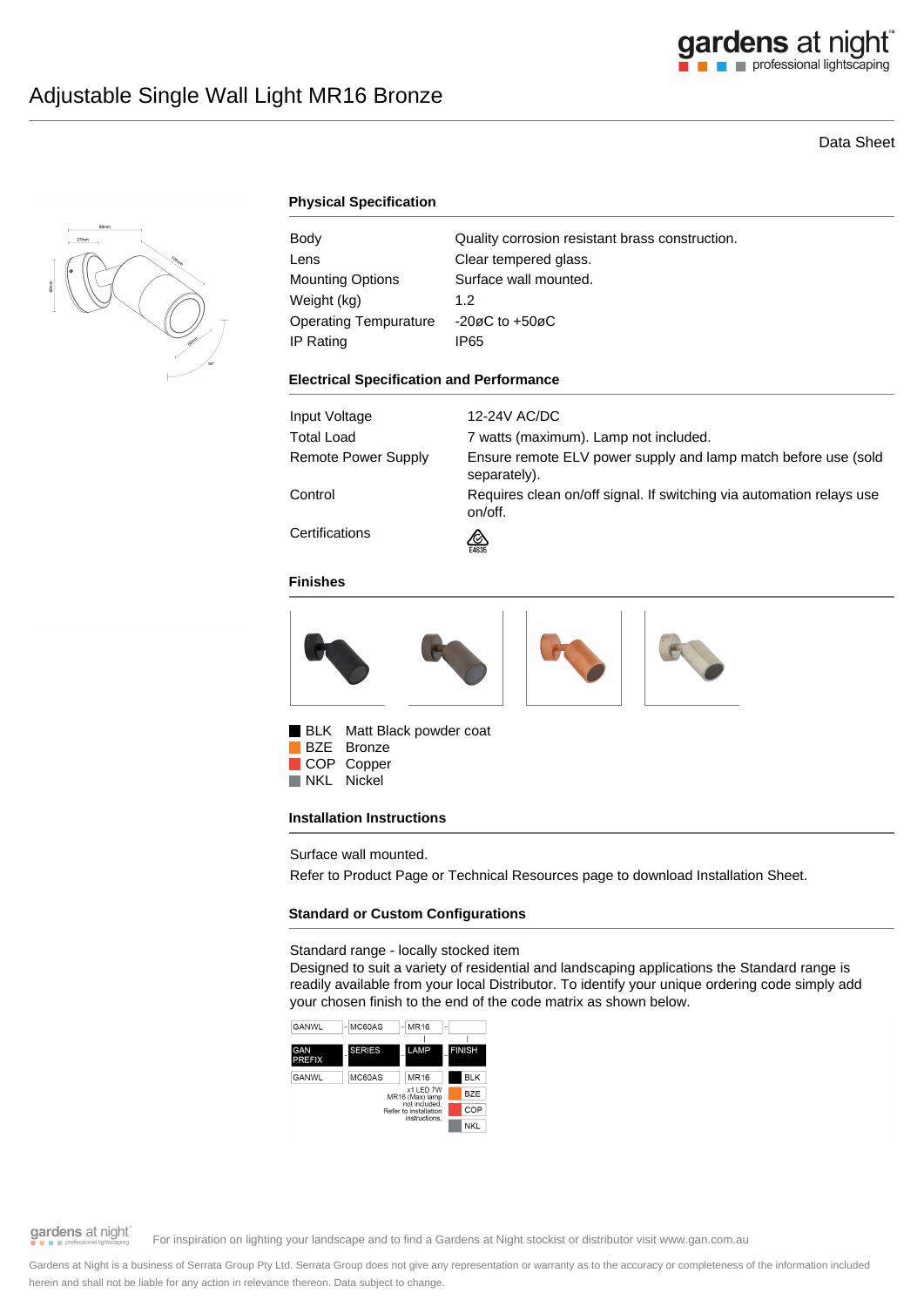

# Data Sheet



# **Physical Specification**

| Body                         | Quality corrosion resistant brass construction. |
|------------------------------|-------------------------------------------------|
| Lens                         | Clear tempered glass.                           |
| <b>Mounting Options</b>      | Surface wall mounted.                           |
| Weight (kg)                  | 1.2                                             |
| <b>Operating Tempurature</b> | $-20\varnothing$ C to $+50\varnothing$ C        |
| IP Rating                    | IP65                                            |

#### **Electrical Specification and Performance**

| Input Voltage       | 12-24V AC/DC                                                                    |
|---------------------|---------------------------------------------------------------------------------|
| Total Load          | 7 watts (maximum). Lamp not included.                                           |
| Remote Power Supply | Ensure remote ELV power supply and lamp match before use (sold<br>separately).  |
| Control             | Requires clean on/off signal. If switching via automation relays use<br>on/off. |
| Certifications      | জ<br>E4635                                                                      |

### **Finishes**



BLK Matt Black powder coat

BZE Bronze COP Copper<br>NKL Nickel Nickel

#### **Installation Instructions**

Surface wall mounted.

Refer to Product Page or Technical Resources page to download Installation Sheet.

## **Standard or Custom Configurations**

Standard range - locally stocked item

Designed to suit a variety of residential and landscaping applications the Standard range is readily available from your local Distributor. To identify your unique ordering code simply add your chosen finish to the end of the code matrix as shown below.





gardens at night

For inspiration on lighting your landscape and to find a Gardens at Night stockist or distributor visit www.gan.com.au

Gardens at Night is a business of Serrata Group Pty Ltd. Serrata Group does not give any representation or warranty as to the accuracy or completeness of the information included herein and shall not be liable for any action in relevance thereon. Data subject to change.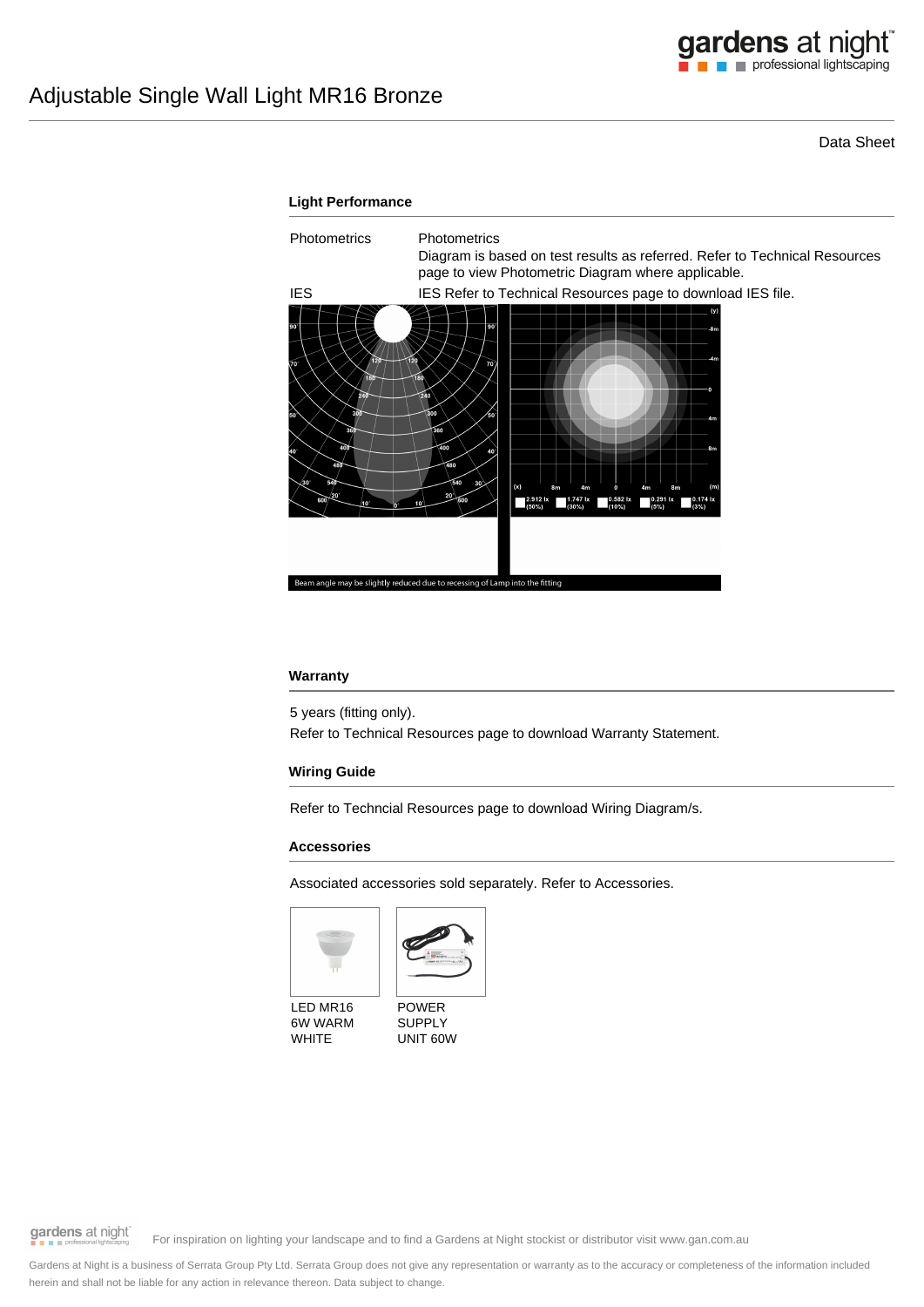Data Sheet



## **Warranty**

5 years (fitting only).

Refer to Technical Resources page to download Warranty Statement.

## **Wiring Guide**

Refer to Techncial Resources page to download Wiring Diagram/s.

## **Accessories**

Associated accessories sold separately. Refer to Accessories.





LED MR16 6W WARM WHITE



gardens at night

For inspiration on lighting your landscape and to find a Gardens at Night stockist or distributor visit www.gan.com.au

Gardens at Night is a business of Serrata Group Pty Ltd. Serrata Group does not give any representation or warranty as to the accuracy or completeness of the information included herein and shall not be liable for any action in relevance thereon. Data subject to change.